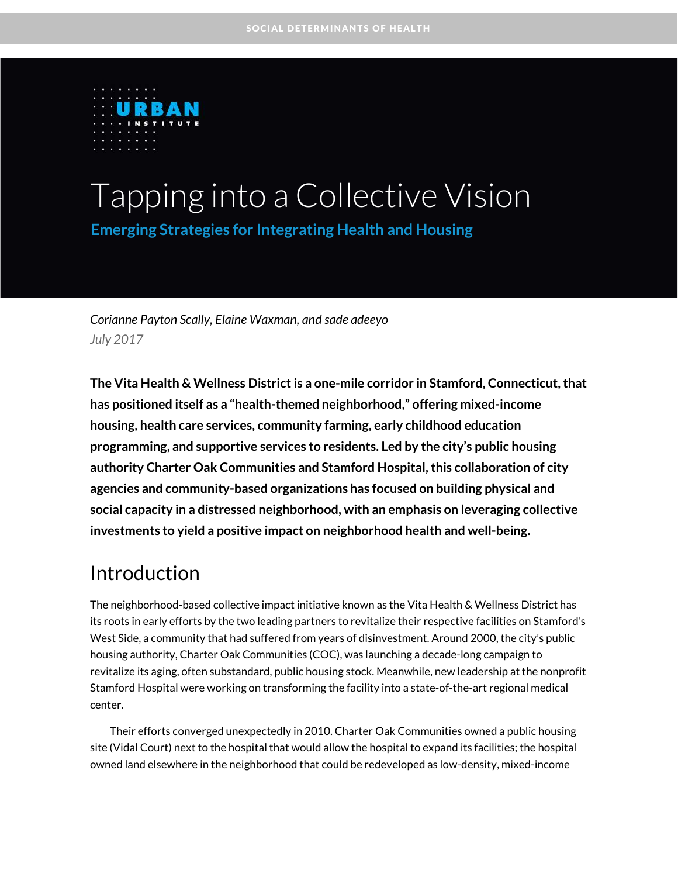

# Tapping into a Collective Vision **Emerging Strategies for Integrating Health and Housing**

*Corianne Payton Scally, Elaine Waxman, and sade adeeyo July 2017*

**The Vita Health & Wellness District is a one-mile corridor in Stamford, Connecticut,that has positioned itself as a "health-themed neighborhood," offering mixed-income housing, health care services, community farming, early childhood education programming, and supportive services to residents. Led by the city's public housing authority Charter Oak Communities and Stamford Hospital, this collaboration of city agencies and community-based organizations has focused on building physical and social capacity in a distressed neighborhood, with an emphasis on leveraging collective investments to yield a positive impact on neighborhood health and well-being.** 

# Introduction

The neighborhood-based collective impact initiative known as the Vita Health & Wellness District has its roots in early efforts by the two leading partners to revitalize their respective facilities on Stamford's West Side, a community that had suffered from years of disinvestment. Around 2000, the city's public housing authority, Charter Oak Communities (COC), was launching a decade-long campaign to revitalize its aging, often substandard, public housing stock. Meanwhile, new leadership at the nonprofit Stamford Hospital were working on transforming the facility into a state-of-the-art regional medical center.

Their efforts converged unexpectedly in 2010. Charter Oak Communities owned a public housing site (Vidal Court) next to the hospital that would allow the hospital to expand its facilities; the hospital owned land elsewhere in the neighborhood that could be redeveloped as low-density, mixed-income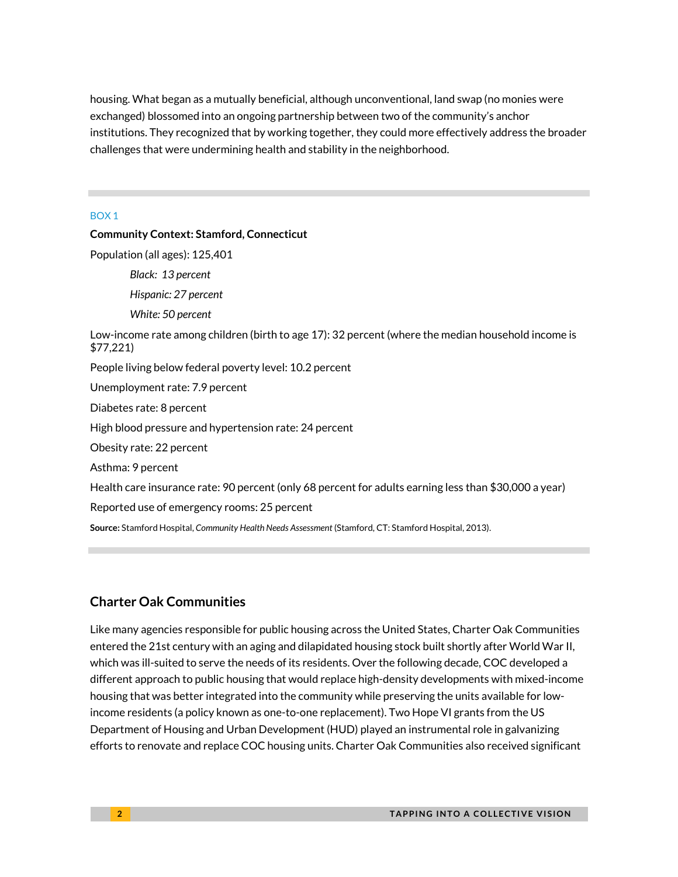housing. What began as a mutually beneficial, although unconventional, land swap (no monies were exchanged) blossomed into an ongoing partnership between two of the community's anchor institutions. They recognized that by working together, they could more effectively address the broader challenges that were undermining health and stability in the neighborhood.

#### BOX 1

### **Community Context: Stamford, Connecticut** Population (all ages): 125,401 *Black: 13 percent Hispanic: 27 percent White: 50 percent* Low-income rate among children (birth to age 17): 32 percent (where the median household income is \$77,221) People living below federal poverty level: 10.2 percent Unemployment rate: 7.9 percent Diabetes rate: 8 percent High blood pressure and hypertension rate: 24 percent Obesity rate: 22 percent Asthma: 9 percent Health care insurance rate: 90 percent (only 68 percent for adults earning less than \$30,000 a year) Reported use of emergency rooms: 25 percent **Source:** Stamford Hospital, *Community Health Needs Assessment* [\(Stamford, CT: Stamford Hospital, 2013\).](http://www.ct.gov/dph/lib/dph/ohca/community_needs_assessment/chna/2016/2016_stamford_hospital.pdf)

### **Charter Oak Communities**

Like many agencies responsible for public housing across the United States, Charter Oak Communities entered the 21st century with an aging and dilapidated housing stock built shortly after World War II, which was ill-suited to serve the needs of its residents. Over the following decade, COC developed a different approach to public housing that would replace high-density developments with mixed-income housing that was better integrated into the community while preserving the units available for lowincome residents (a policy known as one-to-one replacement). Two Hope VI grants from the US Department of Housing and Urban Development (HUD) played an instrumental role in galvanizing efforts to renovate and replace COC housing units. Charter Oak Communities also received significant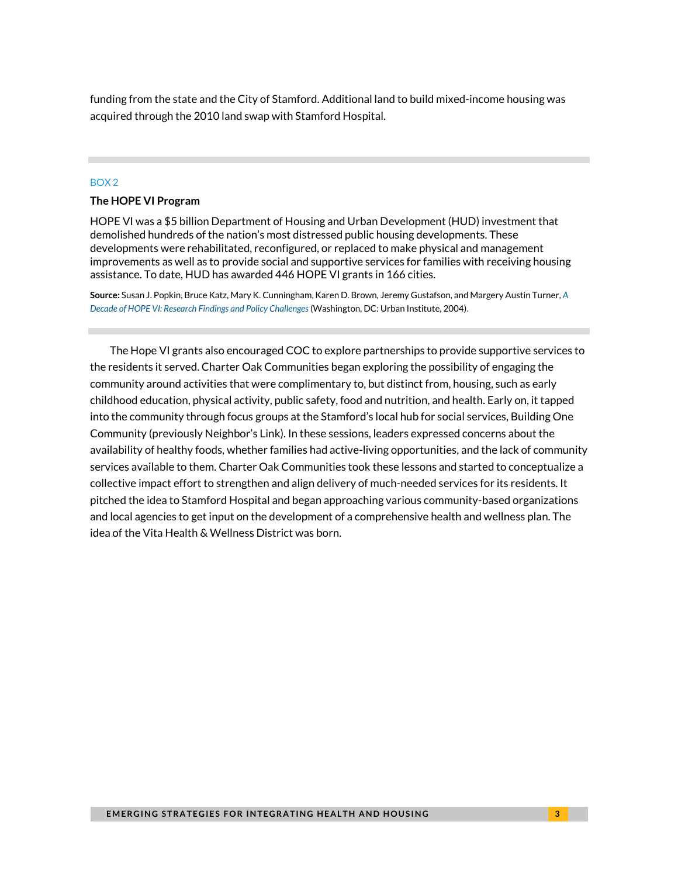funding from the state and the City of Stamford. Additional land to build mixed-income housing was acquired through the 2010 land swap with Stamford Hospital.

#### BOX 2

#### **The HOPE VI Program**

HOPE VI was a \$5 billion Department of Housing and Urban Development (HUD) investment that demolished hundreds of the nation's most distressed public housing developments. These developments were rehabilitated, reconfigured, or replaced to make physical and management improvements as well as to provide social and supportive services for families with receiving housing assistance. To date, HUD has awarded 446 HOPE VI grants in 166 cities.

**Source:** Susan J. Popkin, Bruce Katz, Mary K. Cunningham, Karen D. Brown, Jeremy Gustafson, and Margery Austin Turner, *[A](http://www.urban.org/research/publication/decade-hope-vi/view/full_report)  [Decade of HOPE VI: Research](http://www.urban.org/research/publication/decade-hope-vi/view/full_report) Findings and Policy Challenges* (Washington, DC: Urban Institute, 2004).

The Hope VI grants also encouraged COC to explore partnerships to provide supportive services to the residents it served. Charter Oak Communities began exploring the possibility of engaging the community around activities that were complimentary to, but distinct from, housing, such as early childhood education, physical activity, public safety, food and nutrition, and health. Early on, it tapped into the community through focus groups at the Stamford's local hub for social services, Building One Community (previously Neighbor's Link). In these sessions, leaders expressed concerns about the availability of healthy foods, whether families had active-living opportunities, and the lack of community services available to them. Charter Oak Communities took these lessons and started to conceptualize a collective impact effort to strengthen and align delivery of much-needed services for its residents. It pitched the idea to Stamford Hospital and began approaching various community-based organizations and local agencies to get input on the development of a comprehensive health and wellness plan. The idea of the Vita Health & Wellness District was born.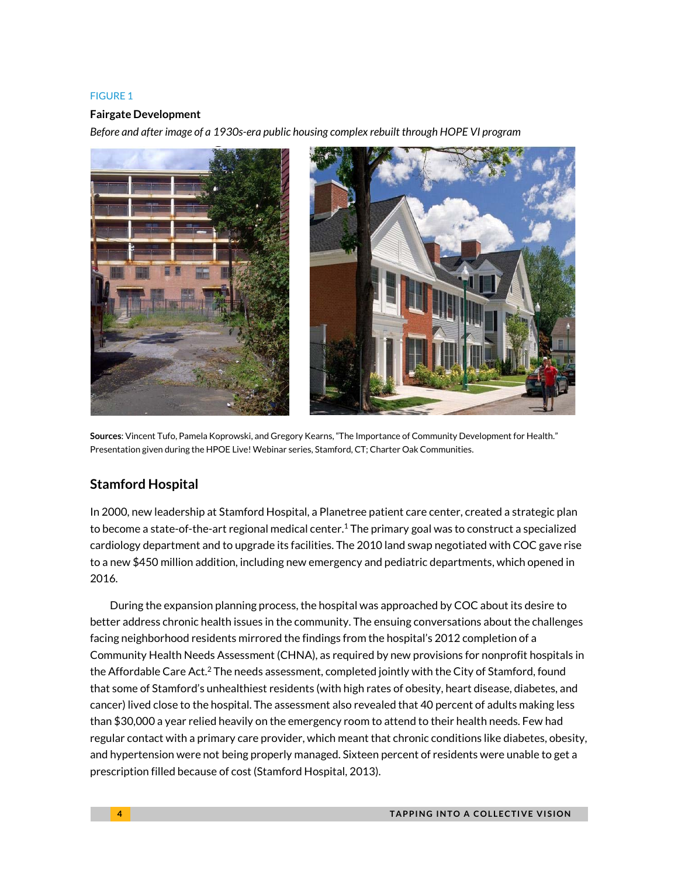#### FIGURE 1

#### **Fairgate Development**

*Before and after image of a 1930s-era public housing complex rebuilt through HOPE VI program*



**Sources**: Vincent Tufo, Pamela Koprowski, and Gregory Kearns, "The Importance of Community Development for Health." Presentation given during the HPOE Live! Webinar series, Stamford, CT; Charter Oak Communities.

### **Stamford Hospital**

In 2000, new leadership at Stamford Hospital, a Planetree patient care center, created a strategic plan to become a state-of-the-art regional medical center.<sup>1</sup> The primary goal was to construct a specialized cardiology department and to upgrade its facilities. The 2010 land swap negotiated with COC gave rise to a new \$450 million addition, including new emergency and pediatric departments, which opened in 2016.

During the expansion planning process, the hospital was approached by COC about its desire to better address chronic health issues in the community. The ensuing conversations about the challenges facing neighborhood residents mirrored the findings from the hospital's 2012 completion of a Community Health Needs Assessment (CHNA), as required by new provisions for nonprofit hospitals in the Affordable Care Act.<sup>2</sup> The needs assessment, completed jointly with the City of Stamford, found that some of Stamford's unhealthiest residents (with high rates of obesity, heart disease, diabetes, and cancer) lived close to the hospital. The assessment also revealed that 40 percent of adults making less than \$30,000 a year relied heavily on the emergency room to attend to their health needs. Few had regular contact with a primary care provider, which meant that chronic conditions like diabetes, obesity, and hypertension were not being properly managed. Sixteen percent of residents were unable to get a prescription filled because of cost (Stamford Hospital, 2013).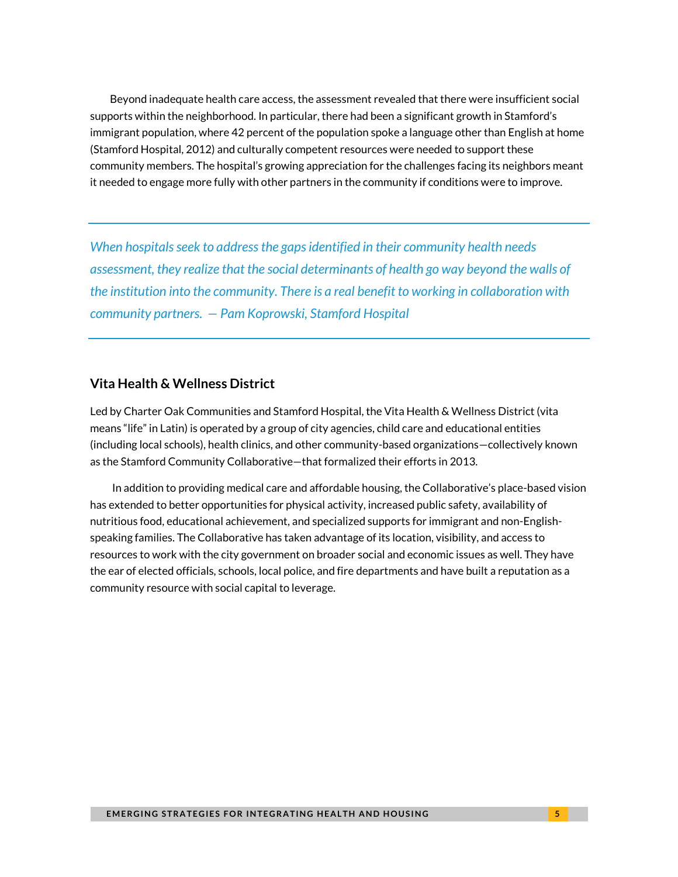Beyond inadequate health care access, the assessment revealed that there were insufficient social supports within the neighborhood. In particular, there had been a significant growth in Stamford's immigrant population, where 42 percent of the population spoke a language other than English at home (Stamford Hospital, 2012) and culturally competent resources were needed to support these community members. The hospital's growing appreciation for the challenges facing its neighbors meant it needed to engage more fully with other partners in the community if conditions were to improve.

*When hospitals seek to address the gaps identified in their community health needs assessment, they realize that the social determinants of health go way beyond the walls of the institution into the community. There is a real benefit to working in collaboration with community partners. — Pam Koprowski, Stamford Hospital* 

### **Vita Health & Wellness District**

Led by Charter Oak Communities and Stamford Hospital, the Vita Health & Wellness District (vita means "life" in Latin) is operated by a group of city agencies, child care and educational entities (including local schools), health clinics, and other community-based organizations—collectively known as the Stamford Community Collaborative—that formalized their efforts in 2013.

In addition to providing medical care and affordable housing, the Collaborative's place-based vision has extended to better opportunities for physical activity, increased public safety, availability of nutritious food, educational achievement, and specialized supports for immigrant and non-Englishspeaking families. The Collaborative has taken advantage of its location, visibility, and access to resources to work with the city government on broader social and economic issues as well. They have the ear of elected officials, schools, local police, and fire departments and have built a reputation as a community resource with social capital to leverage.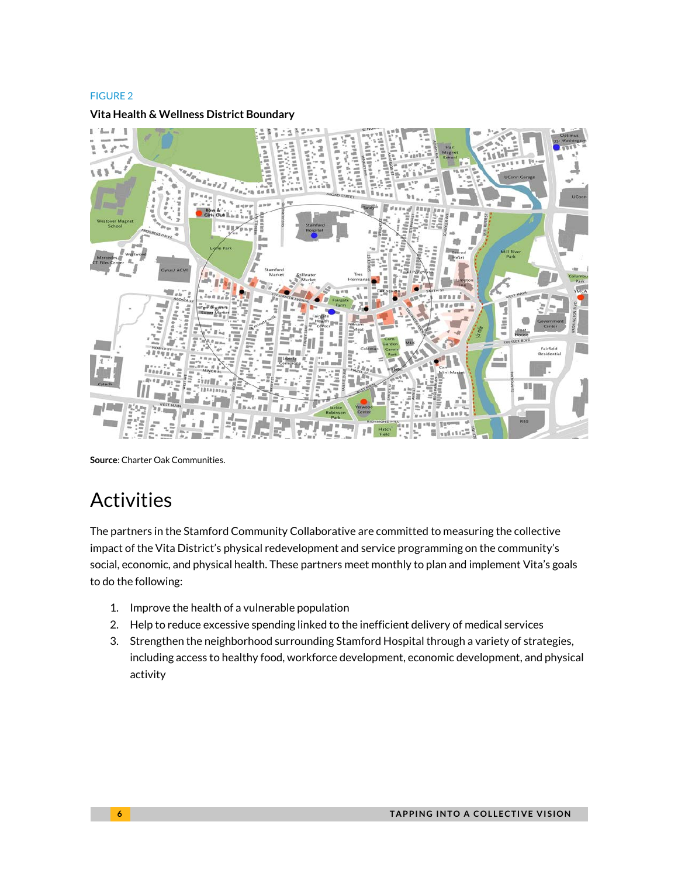#### FIGURE 2

#### **Vita Health & Wellness District Boundary**



**Source**: Charter Oak Communities.

# Activities

The partners in the Stamford Community Collaborative are committed to measuring the collective impact of the Vita District's physical redevelopment and service programming on the community's social, economic, and physical health. These partners meet monthly to plan and implement Vita's goals to do the following:

- 1. Improve the health of a vulnerable population
- 2. Help to reduce excessive spending linked to the inefficient delivery of medical services
- 3. Strengthen the neighborhood surrounding Stamford Hospital through a variety of strategies, including access to healthy food, workforce development, economic development, and physical activity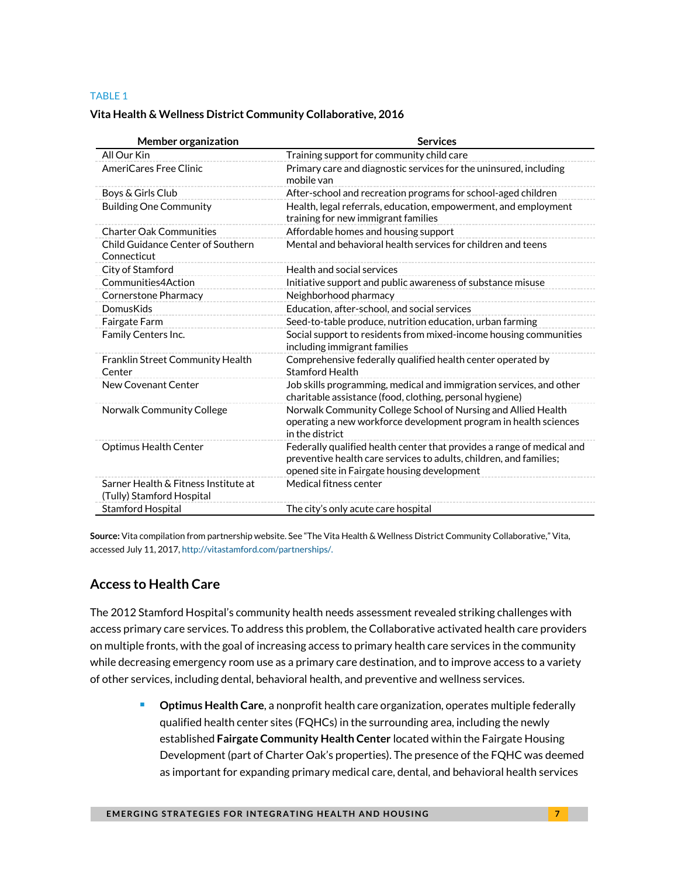#### TABLE 1

#### **Vita Health & Wellness District Community Collaborative, 2016**

| <b>Member organization</b>                                        | <b>Services</b>                                                                                                                                                                             |  |
|-------------------------------------------------------------------|---------------------------------------------------------------------------------------------------------------------------------------------------------------------------------------------|--|
| All Our Kin                                                       | Training support for community child care                                                                                                                                                   |  |
| AmeriCares Free Clinic                                            | Primary care and diagnostic services for the uninsured, including<br>mobile van                                                                                                             |  |
| Boys & Girls Club                                                 | After-school and recreation programs for school-aged children                                                                                                                               |  |
| <b>Building One Community</b>                                     | Health, legal referrals, education, empowerment, and employment<br>training for new immigrant families                                                                                      |  |
| <b>Charter Oak Communities</b>                                    | Affordable homes and housing support                                                                                                                                                        |  |
| Child Guidance Center of Southern<br>Connecticut                  | Mental and behavioral health services for children and teens                                                                                                                                |  |
| City of Stamford                                                  | Health and social services                                                                                                                                                                  |  |
| Communities4Action                                                | Initiative support and public awareness of substance misuse                                                                                                                                 |  |
| Cornerstone Pharmacy                                              | Neighborhood pharmacy                                                                                                                                                                       |  |
| DomusKids                                                         | Education, after-school, and social services                                                                                                                                                |  |
| Fairgate Farm                                                     | Seed-to-table produce, nutrition education, urban farming                                                                                                                                   |  |
| Family Centers Inc.                                               | Social support to residents from mixed-income housing communities<br>including immigrant families                                                                                           |  |
| Franklin Street Community Health<br>Center                        | Comprehensive federally qualified health center operated by<br><b>Stamford Health</b>                                                                                                       |  |
| New Covenant Center                                               | Job skills programming, medical and immigration services, and other<br>charitable assistance (food, clothing, personal hygiene)                                                             |  |
| Norwalk Community College                                         | Norwalk Community College School of Nursing and Allied Health<br>operating a new workforce development program in health sciences<br>in the district                                        |  |
| <b>Optimus Health Center</b>                                      | Federally qualified health center that provides a range of medical and<br>preventive health care services to adults, children, and families;<br>opened site in Fairgate housing development |  |
| Sarner Health & Fitness Institute at<br>(Tully) Stamford Hospital | Medical fitness center                                                                                                                                                                      |  |
| <b>Stamford Hospital</b>                                          | The city's only acute care hospital                                                                                                                                                         |  |

**Source:** [Vita compilation from partnership website.](http://vitastamford.com/partnerships/) See "The Vita Health & Wellness District Community Collaborative," Vita, accessed July 11, 2017, [http://vitastamford.com/partnerships/.](http://vitastamford.com/partnerships/) 

### **Access to Health Care**

The 2012 Stamford Hospital's community health needs assessment revealed striking challenges with access primary care services. To address this problem, the Collaborative activated health care providers on multiple fronts, with the goal of increasing access to primary health care services in the community while decreasing emergency room use as a primary care destination, and to improve access to a variety of other services, including dental, behavioral health, and preventive and wellness services.

> **Depart Care**, a nonprofit health care organization, operates multiple federally qualified health center sites (FQHCs) in the surrounding area, including the newly established **Fairgate Community Health Center** located within the Fairgate Housing Development (part of Charter Oak's properties). The presence of the FQHC was deemed as important for expanding primary medical care, dental, and behavioral health services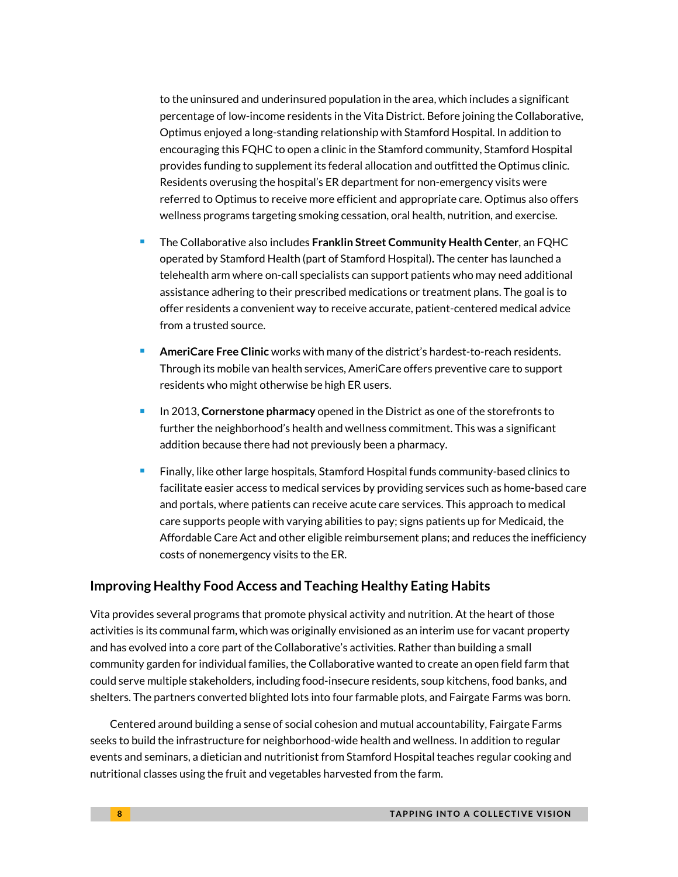to the uninsured and underinsured population in the area, which includes a significant percentage of low-income residents in the Vita District. Before joining the Collaborative, Optimus enjoyed a long-standing relationship with Stamford Hospital. In addition to encouraging this FQHC to open a clinic in the Stamford community, Stamford Hospital provides funding to supplement its federal allocation and outfitted the Optimus clinic. Residents overusing the hospital's ER department for non-emergency visits were referred to Optimus to receive more efficient and appropriate care. Optimus also offers wellness programs targeting smoking cessation, oral health, nutrition, and exercise.

- The Collaborative also includes **Franklin Street Community Health Center**, an FQHC operated by Stamford Health (part of Stamford Hospital)**.** The center has launched a telehealth arm where on-call specialists can support patients who may need additional assistance adhering to their prescribed medications or treatment plans. The goal is to offer residents a convenient way to receive accurate, patient-centered medical advice from a trusted source.
- **AmeriCare Free Clinic** works with many of the district's hardest-to-reach residents. Through its mobile van health services, AmeriCare offers preventive care to support residents who might otherwise be high ER users.
- In 2013, **Cornerstone pharmacy** opened in the District as one of the storefronts to further the neighborhood's health and wellness commitment. This was a significant addition because there had not previously been a pharmacy.
- Finally, like other large hospitals, Stamford Hospital funds community-based clinics to facilitate easier access to medical services by providing services such as home-based care and portals, where patients can receive acute care services. This approach to medical care supports people with varying abilities to pay; signs patients up for Medicaid, the Affordable Care Act and other eligible reimbursement plans; and reduces the inefficiency costs of nonemergency visits to the ER.

### **Improving Healthy Food Access and Teaching Healthy Eating Habits**

Vita provides several programs that promote physical activity and nutrition. At the heart of those activities is its communal farm, which was originally envisioned as an interim use for vacant property and has evolved into a core part of the Collaborative's activities. Rather than building a small community garden for individual families, the Collaborative wanted to create an open field farm that could serve multiple stakeholders, including food-insecure residents, soup kitchens, food banks, and shelters. The partners converted blighted lots into four farmable plots, and Fairgate Farms was born.

Centered around building a sense of social cohesion and mutual accountability, Fairgate Farms seeks to build the infrastructure for neighborhood-wide health and wellness. In addition to regular events and seminars, a dietician and nutritionist from Stamford Hospital teaches regular cooking and nutritional classes using the fruit and vegetables harvested from the farm.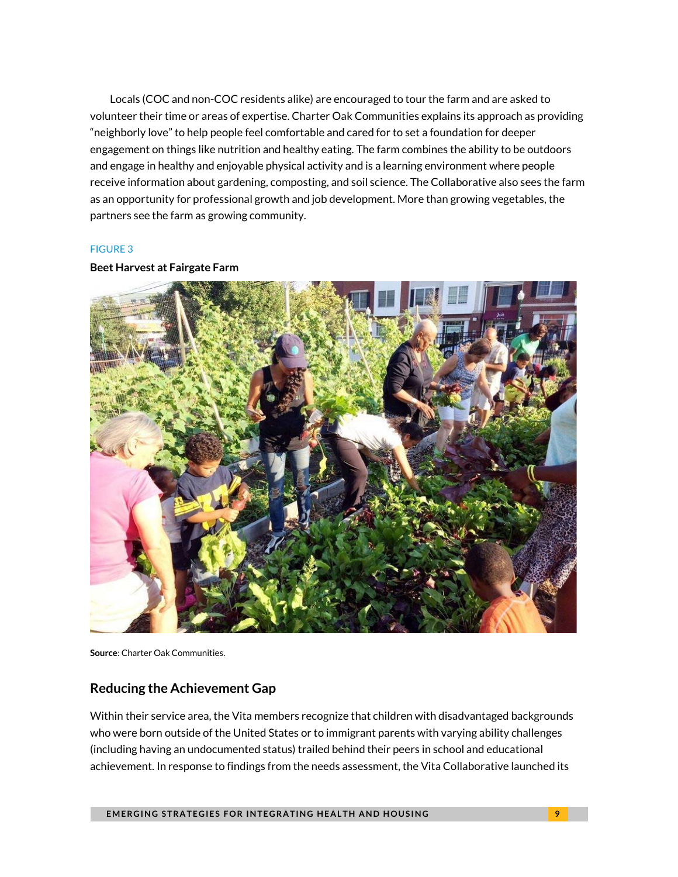Locals (COC and non-COC residents alike) are encouraged to tour the farm and are asked to volunteer their time or areas of expertise. Charter Oak Communities explains its approach as providing "neighborly love" to help people feel comfortable and cared for to set a foundation for deeper engagement on things like nutrition and healthy eating. The farm combines the ability to be outdoors and engage in healthy and enjoyable physical activity and is a learning environment where people receive information about gardening, composting, and soil science. The Collaborative also sees the farm as an opportunity for professional growth and job development. More than growing vegetables, the partners see the farm as growing community.

#### FIGURE 3

#### **Beet Harvest at Fairgate Farm**



**Source**: Charter Oak Communities.

### **Reducing the Achievement Gap**

Within their service area, the Vita members recognize that children with disadvantaged backgrounds who were born outside of the United States or to immigrant parents with varying ability challenges (including having an undocumented status) trailed behind their peers in school and educational achievement. In response to findings from the needs assessment, the Vita Collaborative launched its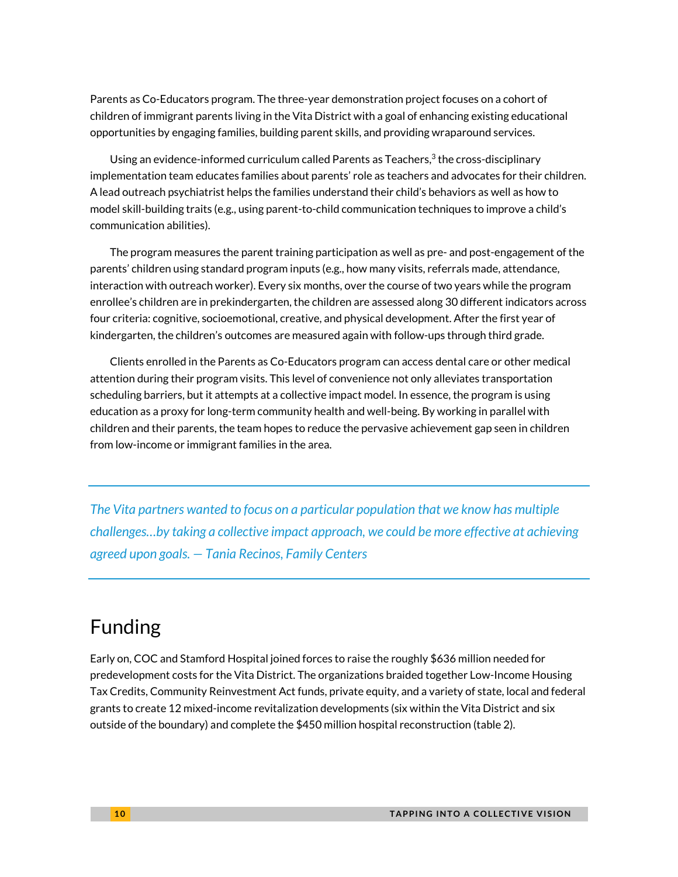Parents as Co-Educators program. The three-year demonstration project focuses on a cohort of children of immigrant parents living in the Vita District with a goal of enhancing existing educational opportunities by engaging families, building parent skills, and providing wraparound services.

Using an evidence-informed curriculum called Parents as Teachers, $3$  the cross-disciplinary implementation team educates families about parents' role as teachers and advocates for their children. A lead outreach psychiatrist helps the families understand their child's behaviors as well as how to model skill-building traits (e.g., using parent-to-child communication techniques to improve a child's communication abilities).

The program measures the parent training participation as well as pre- and post-engagement of the parents' children using standard program inputs (e.g., how many visits, referrals made, attendance, interaction with outreach worker). Every six months, over the course of two years while the program enrollee's children are in prekindergarten, the children are assessed along 30 different indicators across four criteria: cognitive, socioemotional, creative, and physical development. After the first year of kindergarten, the children's outcomes are measured again with follow-ups through third grade.

Clients enrolled in the Parents as Co-Educators program can access dental care or other medical attention during their program visits. This level of convenience not only alleviates transportation scheduling barriers, but it attempts at a collective impact model. In essence, the program is using education as a proxy for long-term community health and well-being. By working in parallel with children and their parents, the team hopes to reduce the pervasive achievement gap seen in children from low-income or immigrant families in the area.

*The Vita partners wanted to focus on a particular population that we know has multiple challenges…by taking a collective impact approach, we could be more effective at achieving agreed upon goals. — Tania Recinos, Family Centers* 

# Funding

Early on, COC and Stamford Hospital joined forces to raise the roughly \$636 million needed for predevelopment costs for the Vita District. The organizations braided together Low-Income Housing Tax Credits, Community Reinvestment Act funds, private equity, and a variety of state, local and federal grants to create 12 mixed-income revitalization developments (six within the Vita District and six outside of the boundary) and complete the \$450 million hospital reconstruction (table 2).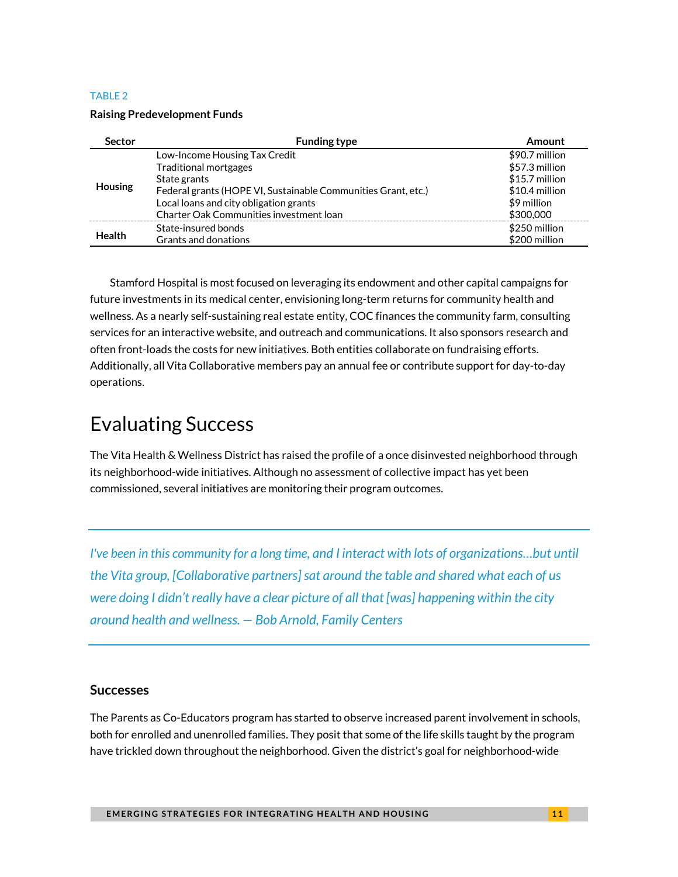#### TABLE 2

#### **Raising Predevelopment Funds**

| <b>Sector</b>                                                  | <b>Funding type</b>                                           | Amount         |
|----------------------------------------------------------------|---------------------------------------------------------------|----------------|
| <b>Traditional mortgages</b><br>State grants<br><b>Housing</b> | Low-Income Housing Tax Credit                                 | \$90.7 million |
|                                                                |                                                               | \$57.3 million |
|                                                                |                                                               | \$15.7 million |
|                                                                | Federal grants (HOPE VI, Sustainable Communities Grant, etc.) | \$10.4 million |
|                                                                | Local loans and city obligation grants                        | \$9 million    |
|                                                                | Charter Oak Communities investment loan                       | \$300,000      |
| <b>Health</b>                                                  | State-insured bonds                                           | \$250 million  |
|                                                                | Grants and donations                                          | \$200 million  |

Stamford Hospital is most focused on leveraging its endowment and other capital campaigns for future investments in its medical center, envisioning long-term returns for community health and wellness. As a nearly self-sustaining real estate entity, COC finances the community farm, consulting services for an interactive website, and outreach and communications. It also sponsors research and often front-loads the costs for new initiatives. Both entities collaborate on fundraising efforts. Additionally, all Vita Collaborative members pay an annual fee or contribute support for day-to-day operations.

# Evaluating Success

The Vita Health & Wellness District has raised the profile of a once disinvested neighborhood through its neighborhood-wide initiatives. Although no assessment of collective impact has yet been commissioned, several initiatives are monitoring their program outcomes.

*I've been in this community for a long time, and I interact with lots of organizations...but until the Vita group, [Collaborative partners] sat around the table and shared what each of us were doing I didn't really have a clear picture of all that [was] happening within the city around health and wellness. — Bob Arnold, Family Centers*

### **Successes**

The Parents as Co-Educators program has started to observe increased parent involvement in schools, both for enrolled and unenrolled families. They posit that some of the life skills taught by the program have trickled down throughout the neighborhood. Given the district's goal for neighborhood-wide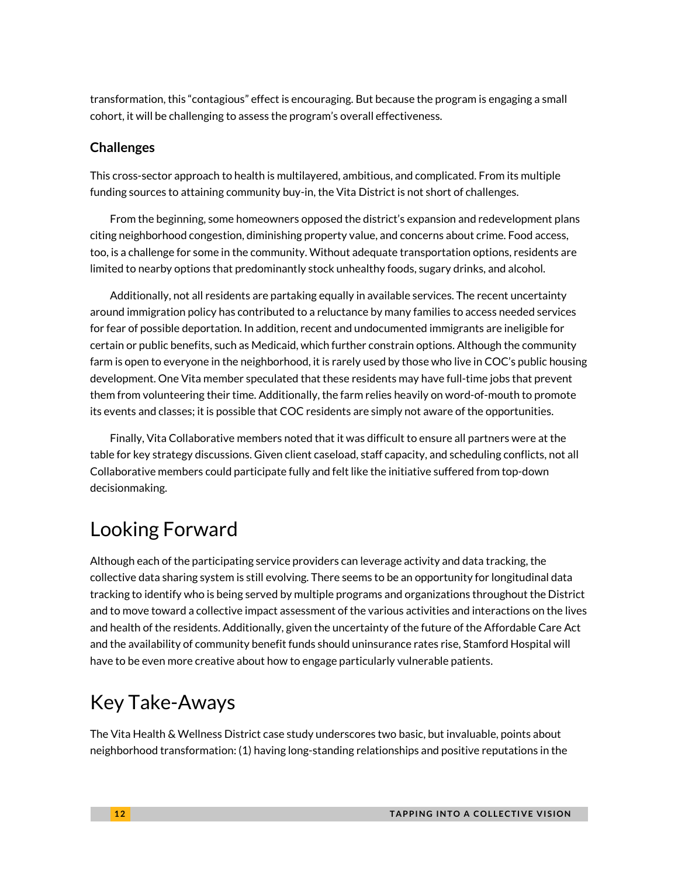transformation, this "contagious" effect is encouraging. But because the program is engaging a small cohort, it will be challenging to assess the program's overall effectiveness.

### **Challenges**

This cross-sector approach to health is multilayered, ambitious, and complicated. From its multiple funding sources to attaining community buy-in, the Vita District is not short of challenges.

From the beginning, some homeowners opposed the district's expansion and redevelopment plans citing neighborhood congestion, diminishing property value, and concerns about crime. Food access, too, is a challenge for some in the community. Without adequate transportation options, residents are limited to nearby options that predominantly stock unhealthy foods, sugary drinks, and alcohol.

Additionally, not all residents are partaking equally in available services. The recent uncertainty around immigration policy has contributed to a reluctance by many families to access needed services for fear of possible deportation. In addition, recent and undocumented immigrants are ineligible for certain or public benefits, such as Medicaid, which further constrain options. Although the community farm is open to everyone in the neighborhood, it is rarely used by those who live in COC's public housing development. One Vita member speculated that these residents may have full-time jobs that prevent them from volunteering their time. Additionally, the farm relies heavily on word-of-mouth to promote its events and classes; it is possible that COC residents are simply not aware of the opportunities.

Finally, Vita Collaborative members noted that it was difficult to ensure all partners were at the table for key strategy discussions. Given client caseload, staff capacity, and scheduling conflicts, not all Collaborative members could participate fully and felt like the initiative suffered from top-down decisionmaking.

# Looking Forward

Although each of the participating service providers can leverage activity and data tracking, the collective data sharing system is still evolving. There seems to be an opportunity for longitudinal data tracking to identify who is being served by multiple programs and organizations throughout the District and to move toward a collective impact assessment of the various activities and interactions on the lives and health of the residents. Additionally, given the uncertainty of the future of the Affordable Care Act and the availability of community benefit funds should uninsurance rates rise, Stamford Hospital will have to be even more creative about how to engage particularly vulnerable patients.

# Key Take-Aways

The Vita Health & Wellness District case study underscores two basic, but invaluable, points about neighborhood transformation: (1) having long-standing relationships and positive reputations in the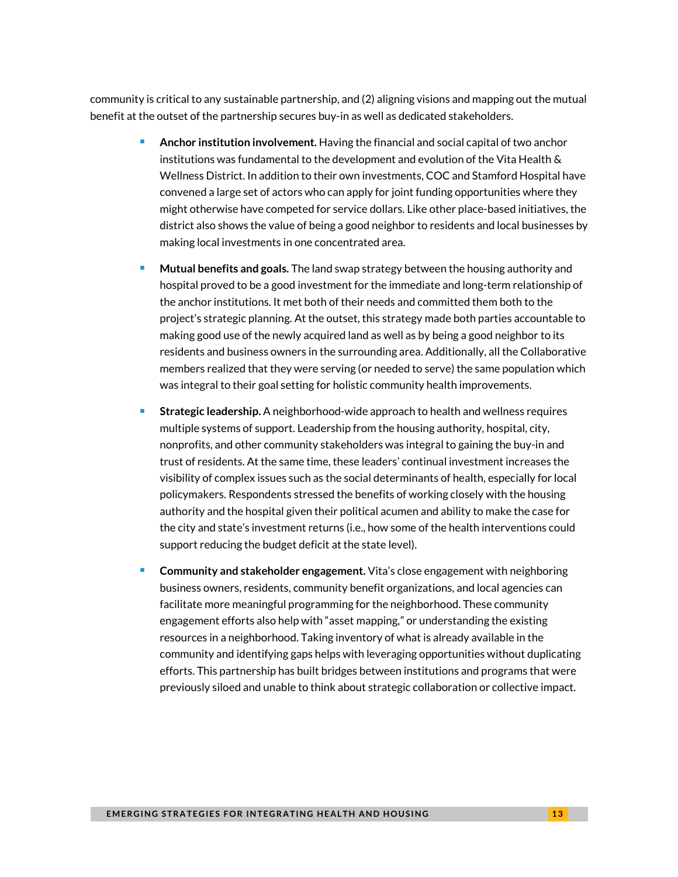community is critical to any sustainable partnership, and (2) aligning visions and mapping out the mutual benefit at the outset of the partnership secures buy-in as well as dedicated stakeholders.

- **Anchor institution involvement.** Having the financial and social capital of two anchor institutions was fundamental to the development and evolution of the Vita Health & Wellness District. In addition to their own investments, COC and Stamford Hospital have convened a large set of actors who can apply for joint funding opportunities where they might otherwise have competed for service dollars. Like other place-based initiatives, the district also shows the value of being a good neighbor to residents and local businesses by making local investments in one concentrated area.
- **Mutual benefits and goals.** The land swap strategy between the housing authority and hospital proved to be a good investment for the immediate and long-term relationship of the anchor institutions. It met both of their needs and committed them both to the project's strategic planning. At the outset, this strategy made both parties accountable to making good use of the newly acquired land as well as by being a good neighbor to its residents and business owners in the surrounding area. Additionally, all the Collaborative members realized that they were serving (or needed to serve) the same population which was integral to their goal setting for holistic community health improvements.
- **Strategic leadership.** A neighborhood-wide approach to health and wellness requires multiple systems of support. Leadership from the housing authority, hospital, city, nonprofits, and other community stakeholders was integral to gaining the buy-in and trust of residents. At the same time, these leaders' continual investment increases the visibility of complex issues such as the social determinants of health, especially for local policymakers. Respondents stressed the benefits of working closely with the housing authority and the hospital given their political acumen and ability to make the case for the city and state's investment returns (i.e., how some of the health interventions could support reducing the budget deficit at the state level).
- **Community and stakeholder engagement.** Vita's close engagement with neighboring business owners, residents, community benefit organizations, and local agencies can facilitate more meaningful programming for the neighborhood. These community engagement efforts also help with "asset mapping," or understanding the existing resources in a neighborhood. Taking inventory of what is already available in the community and identifying gaps helps with leveraging opportunities without duplicating efforts. This partnership has built bridges between institutions and programs that were previously siloed and unable to think about strategic collaboration or collective impact.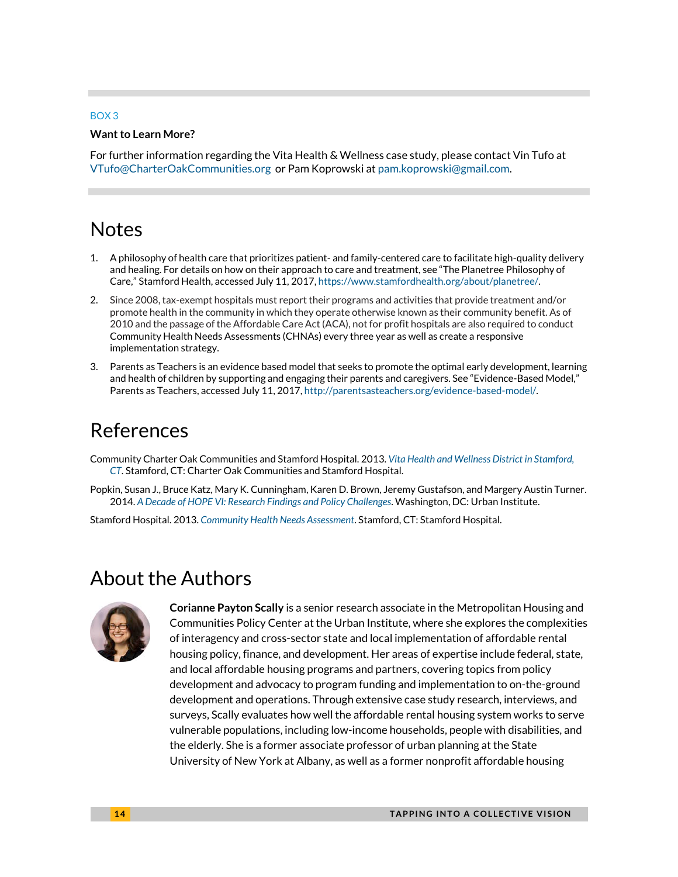#### BOX 3

#### **Want to Learn More?**

For further information regarding the Vita Health & Wellness case study, please contact Vin Tufo at [VTufo@CharterOakCommunities.org](mailto:VTufo@CharterOakCommunities.org) or Pam Koprowski at [pam.koprowski@gmail.com.](mailto:pam.koprowski@gmail.com)

# **Notes**

- 1. A philosophy of health care that prioritizes patient- and family-centered care to facilitate high-quality delivery and healing. For details on how on their approach to care and treatment, see "The Planetree Philosophy of Care," Stamford Health, accessed July 11, 2017, [https://www.stamfordhealth.org/about/planetree/.](https://www.stamfordhealth.org/about/planetree/)
- 2. Since 2008, tax-exempt hospitals must report their programs and activities that provide treatment and/or promote health in the community in which they operate otherwise known as their community benefit. As of 2010 and the passage of the Affordable Care Act (ACA), not for profit hospitals are also required to conduct Community Health Needs Assessments (CHNAs) every three year as well as create a responsive implementation strategy.
- 3. Parents as Teachers is an evidence based model that seeks to promote the optimal early development, learning and health of children by supporting and engaging their parents and caregivers. See "Evidence-Based Model," Parents as Teachers, accessed July 11, 2017[, http://parentsasteachers.org/evidence-based-model/.](http://parentsasteachers.org/evidence-based-model/)

### References

Community Charter Oak Communities and Stamford Hospital. 2013. *[Vita Health and Wellness District in Stamford,](http://vitastamford.com/wp-content/themes/vita/media/VITA_2013_REPORT.pdf)  [CT](http://vitastamford.com/wp-content/themes/vita/media/VITA_2013_REPORT.pdf)*. Stamford, CT: Charter Oak Communities and Stamford Hospital.

Popkin, Susan J., Bruce Katz, Mary K. Cunningham, Karen D. Brown, Jeremy Gustafson, and Margery Austin Turner. 2014. *[A](http://www.urban.org/sites/default/files/publication/54106/2000260-The-Housing-Affordability-Gap-for-Extremely-Low-Income-Renters-2013.pdf) Decade o[f HOPE](http://www.urban.org/research/publication/decade-hope-vi/view/full_report) VI: Research Findings and Policy Challenges*. Washington, DC: Urban Institute.

Stamford Hospital. 2013. *[Community Health Needs Assessment](https://www.stamfordhealth.org/app/files/public/177/Community-Health-Needs-Assessment-CHNA-2013.pdf)*. Stamford, CT: Stamford Hospital.

# About the Authors



**Corianne Payton Scally** is a senior research associate in the Metropolitan Housing and Communities Policy Center at the Urban Institute, where she explores the complexities of interagency and cross-sector state and local implementation of affordable rental housing policy, finance, and development. Her areas of expertise include federal, state, and local affordable housing programs and partners, covering topics from policy development and advocacy to program funding and implementation to on-the-ground development and operations. Through extensive case study research, interviews, and surveys, Scally evaluates how well the affordable rental housing system works to serve vulnerable populations, including low-income households, people with disabilities, and the elderly. She is a former associate professor of urban planning at the State University of New York at Albany, as well as a former nonprofit affordable housing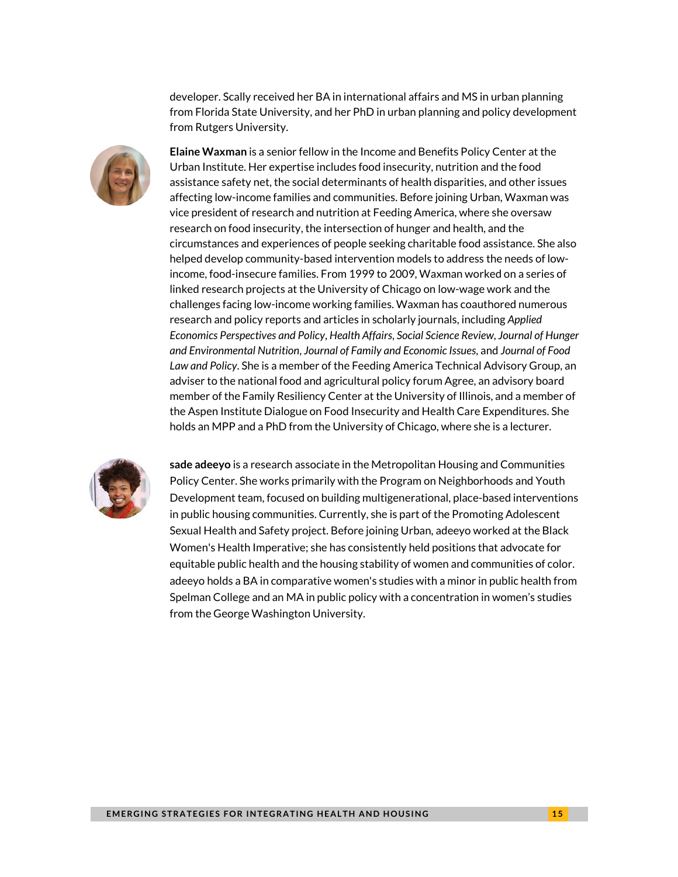developer. Scally received her BA in international affairs and MS in urban planning from Florida State University, and her PhD in urban planning and policy development from Rutgers University.



**Elaine Waxman** is a senior fellow in the Income and Benefits Policy Center at the Urban Institute. Her expertise includes food insecurity, nutrition and the food assistance safety net, the social determinants of health disparities, and other issues affecting low-income families and communities. Before joining Urban, Waxman was vice president of research and nutrition at Feeding America, where she oversaw research on food insecurity, the intersection of hunger and health, and the circumstances and experiences of people seeking charitable food assistance. She also helped develop community-based intervention models to address the needs of lowincome, food-insecure families. From 1999 to 2009, Waxman worked on a series of linked research projects at the University of Chicago on low-wage work and the challenges facing low-income working families. Waxman has coauthored numerous research and policy reports and articles in scholarly journals, including *Applied Economics Perspectives and Policy*, *Health Affairs*, *Social Science Review*, *Journal of Hunger and Environmental Nutrition*, *Journal of Family and Economic Issues*, and *Journal of Food Law and Policy*. She is a member of the Feeding America Technical Advisory Group, an adviser to the national food and agricultural policy forum Agree, an advisory board member of the Family Resiliency Center at the University of Illinois, and a member of the Aspen Institute Dialogue on Food Insecurity and Health Care Expenditures. She holds an MPP and a PhD from the University of Chicago, where she is a lecturer.



**sade adeeyo** is a research associate in the Metropolitan Housing and Communities Policy Center. She works primarily with the Program on Neighborhoods and Youth Development team, focused on building multigenerational, place-based interventions in public housing communities. Currently, she is part of the Promoting Adolescent Sexual Health and Safety project. Before joining Urban, adeeyo worked at the Black Women's Health Imperative; she has consistently held positions that advocate for equitable public health and the housing stability of women and communities of color. adeeyo holds a BA in comparative women's studies with a minor in public health from Spelman College and an MA in public policy with a concentration in women's studies from the George Washington University.